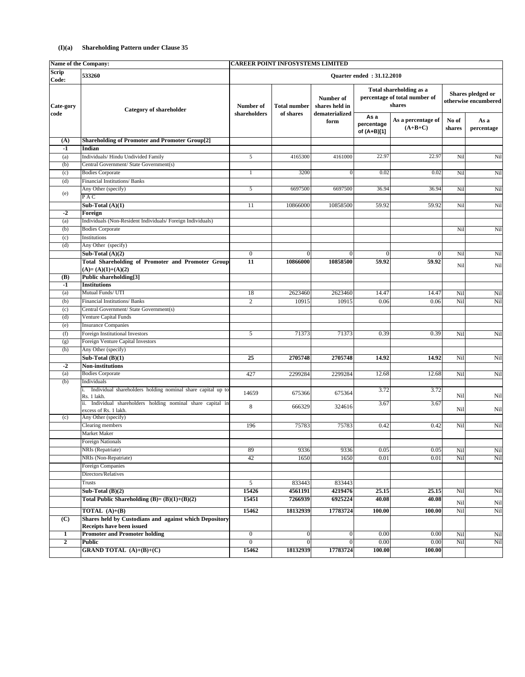## **(I)(a) Shareholding Pattern under Clause 35**

| <b>Scrip</b><br>533260<br><b>Quarter ended: 31.12.2010</b><br>Code:<br>Total shareholding as a<br>Shares pledged or<br>percentage of total number of<br><b>Number of</b><br>shares<br>shares held in<br>Cate-gory<br>Number of<br><b>Total number</b><br><b>Category of shareholder</b><br>shareholders<br>of shares<br>dematerialized<br>code<br>As a<br>As a percentage of<br>No of<br>As a<br>form<br>percentage<br>$(A+B+C)$<br>shares<br>percentage<br>of (A+B)[1]<br><b>Shareholding of Promoter and Promoter Group[2]</b><br>(A)<br>$-1$<br>Indian<br>22.97<br>22.97<br>Individuals/Hindu Undivided Family<br>$5\overline{)}$<br>Nil<br>4165300<br>4161000<br>(a)<br>Central Government/ State Government(s)<br>(b)<br><b>Bodies Corporate</b><br>3200<br>$\Omega$<br>0.02<br>0.02<br>(c)<br>Nil<br>Nil<br><b>Financial Institutions/Banks</b><br>(d)<br>$5\overline{)}$<br>6697500<br>6697500<br>36.94<br>Any Other (specify)<br>36.94<br>Nil<br>Nil<br>(e)<br>PAC<br>10858500<br>Sub-Total $(A)(1)$<br>11<br>10866000<br>59.92<br>59.92<br>Nil<br>Nil<br>$-2$<br>Foreign<br>Individuals (Non-Resident Individuals/Foreign Individuals)<br>(a)<br><b>Bodies Corporate</b><br>(b)<br>Nil<br>Nil<br>Institutions<br>(c)<br>Any Other (specify)<br>(d)<br>Sub-Total $(A)(2)$<br>$\overline{0}$<br>$\Omega$<br>$\Omega$<br>Nil<br>Nil<br>$\Omega$<br>$\Omega$<br><b>Total Shareholding of Promoter and Promoter Group</b><br>$\overline{11}$<br>10858500<br>59.92<br>10866000<br>59.92<br>Nil<br>Nil<br>$(A)=(A)(1)+(A)(2)$<br><b>Public shareholding[3]</b><br><b>(B)</b><br>$-1$<br><b>Institutions</b><br>Mutual Funds/ UTI<br>2623460<br>18<br>2623460<br>14.47<br>14.47<br>Nil<br>(a)<br>Nil<br>10915<br>10915<br>Nil<br>Financial Institutions/Banks<br>$\mathfrak{2}$<br>0.06<br>0.06<br>Nil<br>(b)<br>Central Government/ State Government(s)<br>(c)<br><b>Venture Capital Funds</b><br>(d)<br><b>Insurance Companies</b><br>(e)<br><b>Foreign Institutional Investors</b><br>71373<br>71373<br>0.39<br>5 <sup>5</sup><br>0.39<br>(f)<br>Nil<br>Nil<br>Foreign Venture Capital Investors<br>(g)<br>Any Other (specify)<br>(h)<br>Sub-Total $(B)(1)$<br>$\overline{25}$<br>2705748<br>2705748<br>Nil<br>Nil<br>14.92<br>14.92<br>$-2$<br><b>Non-institutions</b><br><b>Bodies Corporate</b><br>Nil<br>12.68<br>Nil<br>427<br>2299284<br>2299284<br>12.68<br>(a)<br>Individuals<br>(b)<br>i. Individual shareholders holding nominal share capital up to<br>3.72<br>3.72<br>14659<br>675366<br>675364<br>Nil<br><b>Nil</b><br>Rs. 1 lakh.<br>ii. Individual shareholders holding nominal share capital in<br>3.67<br>3.67<br>8<br>324616<br>666329<br>Nil<br>Nil<br>excess of Rs. 1 lakh.<br>Any Other (specify)<br>(c)<br><b>Clearing members</b><br>Nil<br>75783<br>75783<br>Nil<br>196<br>0.42<br>0.42<br><b>Market Maker</b><br><b>Foreign Nationals</b><br>NRIs (Repatriate)<br>9336<br>9336<br>89<br>0.05<br>0.05<br>Nil<br>Nil<br>NRIs (Non-Repatriate)<br>42<br>1650<br>1650<br>0.01<br>0.01<br>Nil<br>Nil<br><b>Foreign Companies</b><br>Directors/Relatives<br>$5\overline{)}$<br>833443<br>833443<br><b>Trusts</b><br>15426<br>4561191<br>4219476<br>25.15<br>Nil<br>Nil<br>Sub-Total $(B)(2)$<br>25.15<br>Total Public Shareholding $(B)=(B)(1)+(B)(2)$<br>15451<br>40.08<br>40.08<br>7266939<br>6925224<br>N <sub>il</sub><br>Nil<br><b>TOTAL</b> $(A)+(B)$<br>15462<br>17783724<br>Nil<br>18132939<br><b>100.00</b><br>Nil<br>100.00<br><b>Shares held by Custodians and against which Depository</b><br>$\overline{C}$<br>Receipts have been issued<br><b>Promoter and Promoter holding</b><br>$\overline{0}$<br>$\overline{0}$<br>0.00<br>0.00<br>Nil<br>Nil<br>$\Omega$<br>$\mathbf{1}$<br>Nil<br>Nil<br>$\overline{2}$<br><b>Public</b><br>$\overline{0}$<br>$\overline{0}$<br>$\overline{0}$<br>0.00<br>0.00<br><b>GRAND TOTAL</b> $(A)+(B)+(C)$<br>15462<br>18132939<br>17783724<br>100.00<br>100.00 | Name of the Company:<br><b>CAREER POINT INFOSYSTEMS LIMITED</b> |  |  |  |  |  |                      |     |
|------------------------------------------------------------------------------------------------------------------------------------------------------------------------------------------------------------------------------------------------------------------------------------------------------------------------------------------------------------------------------------------------------------------------------------------------------------------------------------------------------------------------------------------------------------------------------------------------------------------------------------------------------------------------------------------------------------------------------------------------------------------------------------------------------------------------------------------------------------------------------------------------------------------------------------------------------------------------------------------------------------------------------------------------------------------------------------------------------------------------------------------------------------------------------------------------------------------------------------------------------------------------------------------------------------------------------------------------------------------------------------------------------------------------------------------------------------------------------------------------------------------------------------------------------------------------------------------------------------------------------------------------------------------------------------------------------------------------------------------------------------------------------------------------------------------------------------------------------------------------------------------------------------------------------------------------------------------------------------------------------------------------------------------------------------------------------------------------------------------------------------------------------------------------------------------------------------------------------------------------------------------------------------------------------------------------------------------------------------------------------------------------------------------------------------------------------------------------------------------------------------------------------------------------------------------------------------------------------------------------------------------------------------------------------------------------------------------------------------------------------------------------------------------------------------------------------------------------------------------------------------------------------------------------------------------------------------------------------------------------------------------------------------------------------------------------------------------------------------------------------------------------------------------------------------------------------------------------------------------------------------------------------------------------------------------------------------------------------------------------------------------------------------------------------------------------------------------------------------------------------------------------------------------------------------------------------------------------------------------------------------------------------------------------------------------------------------------------------------------------------------------------------------------------------------------------------------------------------------------------------------------------------------------------------------|-----------------------------------------------------------------|--|--|--|--|--|----------------------|-----|
|                                                                                                                                                                                                                                                                                                                                                                                                                                                                                                                                                                                                                                                                                                                                                                                                                                                                                                                                                                                                                                                                                                                                                                                                                                                                                                                                                                                                                                                                                                                                                                                                                                                                                                                                                                                                                                                                                                                                                                                                                                                                                                                                                                                                                                                                                                                                                                                                                                                                                                                                                                                                                                                                                                                                                                                                                                                                                                                                                                                                                                                                                                                                                                                                                                                                                                                                                                                                                                                                                                                                                                                                                                                                                                                                                                                                                                                                                                                                    |                                                                 |  |  |  |  |  |                      |     |
|                                                                                                                                                                                                                                                                                                                                                                                                                                                                                                                                                                                                                                                                                                                                                                                                                                                                                                                                                                                                                                                                                                                                                                                                                                                                                                                                                                                                                                                                                                                                                                                                                                                                                                                                                                                                                                                                                                                                                                                                                                                                                                                                                                                                                                                                                                                                                                                                                                                                                                                                                                                                                                                                                                                                                                                                                                                                                                                                                                                                                                                                                                                                                                                                                                                                                                                                                                                                                                                                                                                                                                                                                                                                                                                                                                                                                                                                                                                                    |                                                                 |  |  |  |  |  | otherwise encumbered |     |
|                                                                                                                                                                                                                                                                                                                                                                                                                                                                                                                                                                                                                                                                                                                                                                                                                                                                                                                                                                                                                                                                                                                                                                                                                                                                                                                                                                                                                                                                                                                                                                                                                                                                                                                                                                                                                                                                                                                                                                                                                                                                                                                                                                                                                                                                                                                                                                                                                                                                                                                                                                                                                                                                                                                                                                                                                                                                                                                                                                                                                                                                                                                                                                                                                                                                                                                                                                                                                                                                                                                                                                                                                                                                                                                                                                                                                                                                                                                                    |                                                                 |  |  |  |  |  |                      |     |
|                                                                                                                                                                                                                                                                                                                                                                                                                                                                                                                                                                                                                                                                                                                                                                                                                                                                                                                                                                                                                                                                                                                                                                                                                                                                                                                                                                                                                                                                                                                                                                                                                                                                                                                                                                                                                                                                                                                                                                                                                                                                                                                                                                                                                                                                                                                                                                                                                                                                                                                                                                                                                                                                                                                                                                                                                                                                                                                                                                                                                                                                                                                                                                                                                                                                                                                                                                                                                                                                                                                                                                                                                                                                                                                                                                                                                                                                                                                                    |                                                                 |  |  |  |  |  |                      |     |
|                                                                                                                                                                                                                                                                                                                                                                                                                                                                                                                                                                                                                                                                                                                                                                                                                                                                                                                                                                                                                                                                                                                                                                                                                                                                                                                                                                                                                                                                                                                                                                                                                                                                                                                                                                                                                                                                                                                                                                                                                                                                                                                                                                                                                                                                                                                                                                                                                                                                                                                                                                                                                                                                                                                                                                                                                                                                                                                                                                                                                                                                                                                                                                                                                                                                                                                                                                                                                                                                                                                                                                                                                                                                                                                                                                                                                                                                                                                                    |                                                                 |  |  |  |  |  |                      |     |
|                                                                                                                                                                                                                                                                                                                                                                                                                                                                                                                                                                                                                                                                                                                                                                                                                                                                                                                                                                                                                                                                                                                                                                                                                                                                                                                                                                                                                                                                                                                                                                                                                                                                                                                                                                                                                                                                                                                                                                                                                                                                                                                                                                                                                                                                                                                                                                                                                                                                                                                                                                                                                                                                                                                                                                                                                                                                                                                                                                                                                                                                                                                                                                                                                                                                                                                                                                                                                                                                                                                                                                                                                                                                                                                                                                                                                                                                                                                                    |                                                                 |  |  |  |  |  |                      | Nil |
|                                                                                                                                                                                                                                                                                                                                                                                                                                                                                                                                                                                                                                                                                                                                                                                                                                                                                                                                                                                                                                                                                                                                                                                                                                                                                                                                                                                                                                                                                                                                                                                                                                                                                                                                                                                                                                                                                                                                                                                                                                                                                                                                                                                                                                                                                                                                                                                                                                                                                                                                                                                                                                                                                                                                                                                                                                                                                                                                                                                                                                                                                                                                                                                                                                                                                                                                                                                                                                                                                                                                                                                                                                                                                                                                                                                                                                                                                                                                    |                                                                 |  |  |  |  |  |                      |     |
|                                                                                                                                                                                                                                                                                                                                                                                                                                                                                                                                                                                                                                                                                                                                                                                                                                                                                                                                                                                                                                                                                                                                                                                                                                                                                                                                                                                                                                                                                                                                                                                                                                                                                                                                                                                                                                                                                                                                                                                                                                                                                                                                                                                                                                                                                                                                                                                                                                                                                                                                                                                                                                                                                                                                                                                                                                                                                                                                                                                                                                                                                                                                                                                                                                                                                                                                                                                                                                                                                                                                                                                                                                                                                                                                                                                                                                                                                                                                    |                                                                 |  |  |  |  |  |                      |     |
|                                                                                                                                                                                                                                                                                                                                                                                                                                                                                                                                                                                                                                                                                                                                                                                                                                                                                                                                                                                                                                                                                                                                                                                                                                                                                                                                                                                                                                                                                                                                                                                                                                                                                                                                                                                                                                                                                                                                                                                                                                                                                                                                                                                                                                                                                                                                                                                                                                                                                                                                                                                                                                                                                                                                                                                                                                                                                                                                                                                                                                                                                                                                                                                                                                                                                                                                                                                                                                                                                                                                                                                                                                                                                                                                                                                                                                                                                                                                    |                                                                 |  |  |  |  |  |                      |     |
|                                                                                                                                                                                                                                                                                                                                                                                                                                                                                                                                                                                                                                                                                                                                                                                                                                                                                                                                                                                                                                                                                                                                                                                                                                                                                                                                                                                                                                                                                                                                                                                                                                                                                                                                                                                                                                                                                                                                                                                                                                                                                                                                                                                                                                                                                                                                                                                                                                                                                                                                                                                                                                                                                                                                                                                                                                                                                                                                                                                                                                                                                                                                                                                                                                                                                                                                                                                                                                                                                                                                                                                                                                                                                                                                                                                                                                                                                                                                    |                                                                 |  |  |  |  |  |                      |     |
|                                                                                                                                                                                                                                                                                                                                                                                                                                                                                                                                                                                                                                                                                                                                                                                                                                                                                                                                                                                                                                                                                                                                                                                                                                                                                                                                                                                                                                                                                                                                                                                                                                                                                                                                                                                                                                                                                                                                                                                                                                                                                                                                                                                                                                                                                                                                                                                                                                                                                                                                                                                                                                                                                                                                                                                                                                                                                                                                                                                                                                                                                                                                                                                                                                                                                                                                                                                                                                                                                                                                                                                                                                                                                                                                                                                                                                                                                                                                    |                                                                 |  |  |  |  |  |                      |     |
|                                                                                                                                                                                                                                                                                                                                                                                                                                                                                                                                                                                                                                                                                                                                                                                                                                                                                                                                                                                                                                                                                                                                                                                                                                                                                                                                                                                                                                                                                                                                                                                                                                                                                                                                                                                                                                                                                                                                                                                                                                                                                                                                                                                                                                                                                                                                                                                                                                                                                                                                                                                                                                                                                                                                                                                                                                                                                                                                                                                                                                                                                                                                                                                                                                                                                                                                                                                                                                                                                                                                                                                                                                                                                                                                                                                                                                                                                                                                    |                                                                 |  |  |  |  |  |                      |     |
|                                                                                                                                                                                                                                                                                                                                                                                                                                                                                                                                                                                                                                                                                                                                                                                                                                                                                                                                                                                                                                                                                                                                                                                                                                                                                                                                                                                                                                                                                                                                                                                                                                                                                                                                                                                                                                                                                                                                                                                                                                                                                                                                                                                                                                                                                                                                                                                                                                                                                                                                                                                                                                                                                                                                                                                                                                                                                                                                                                                                                                                                                                                                                                                                                                                                                                                                                                                                                                                                                                                                                                                                                                                                                                                                                                                                                                                                                                                                    |                                                                 |  |  |  |  |  |                      |     |
|                                                                                                                                                                                                                                                                                                                                                                                                                                                                                                                                                                                                                                                                                                                                                                                                                                                                                                                                                                                                                                                                                                                                                                                                                                                                                                                                                                                                                                                                                                                                                                                                                                                                                                                                                                                                                                                                                                                                                                                                                                                                                                                                                                                                                                                                                                                                                                                                                                                                                                                                                                                                                                                                                                                                                                                                                                                                                                                                                                                                                                                                                                                                                                                                                                                                                                                                                                                                                                                                                                                                                                                                                                                                                                                                                                                                                                                                                                                                    |                                                                 |  |  |  |  |  |                      |     |
|                                                                                                                                                                                                                                                                                                                                                                                                                                                                                                                                                                                                                                                                                                                                                                                                                                                                                                                                                                                                                                                                                                                                                                                                                                                                                                                                                                                                                                                                                                                                                                                                                                                                                                                                                                                                                                                                                                                                                                                                                                                                                                                                                                                                                                                                                                                                                                                                                                                                                                                                                                                                                                                                                                                                                                                                                                                                                                                                                                                                                                                                                                                                                                                                                                                                                                                                                                                                                                                                                                                                                                                                                                                                                                                                                                                                                                                                                                                                    |                                                                 |  |  |  |  |  |                      |     |
|                                                                                                                                                                                                                                                                                                                                                                                                                                                                                                                                                                                                                                                                                                                                                                                                                                                                                                                                                                                                                                                                                                                                                                                                                                                                                                                                                                                                                                                                                                                                                                                                                                                                                                                                                                                                                                                                                                                                                                                                                                                                                                                                                                                                                                                                                                                                                                                                                                                                                                                                                                                                                                                                                                                                                                                                                                                                                                                                                                                                                                                                                                                                                                                                                                                                                                                                                                                                                                                                                                                                                                                                                                                                                                                                                                                                                                                                                                                                    |                                                                 |  |  |  |  |  |                      |     |
|                                                                                                                                                                                                                                                                                                                                                                                                                                                                                                                                                                                                                                                                                                                                                                                                                                                                                                                                                                                                                                                                                                                                                                                                                                                                                                                                                                                                                                                                                                                                                                                                                                                                                                                                                                                                                                                                                                                                                                                                                                                                                                                                                                                                                                                                                                                                                                                                                                                                                                                                                                                                                                                                                                                                                                                                                                                                                                                                                                                                                                                                                                                                                                                                                                                                                                                                                                                                                                                                                                                                                                                                                                                                                                                                                                                                                                                                                                                                    |                                                                 |  |  |  |  |  |                      |     |
|                                                                                                                                                                                                                                                                                                                                                                                                                                                                                                                                                                                                                                                                                                                                                                                                                                                                                                                                                                                                                                                                                                                                                                                                                                                                                                                                                                                                                                                                                                                                                                                                                                                                                                                                                                                                                                                                                                                                                                                                                                                                                                                                                                                                                                                                                                                                                                                                                                                                                                                                                                                                                                                                                                                                                                                                                                                                                                                                                                                                                                                                                                                                                                                                                                                                                                                                                                                                                                                                                                                                                                                                                                                                                                                                                                                                                                                                                                                                    |                                                                 |  |  |  |  |  |                      |     |
|                                                                                                                                                                                                                                                                                                                                                                                                                                                                                                                                                                                                                                                                                                                                                                                                                                                                                                                                                                                                                                                                                                                                                                                                                                                                                                                                                                                                                                                                                                                                                                                                                                                                                                                                                                                                                                                                                                                                                                                                                                                                                                                                                                                                                                                                                                                                                                                                                                                                                                                                                                                                                                                                                                                                                                                                                                                                                                                                                                                                                                                                                                                                                                                                                                                                                                                                                                                                                                                                                                                                                                                                                                                                                                                                                                                                                                                                                                                                    |                                                                 |  |  |  |  |  |                      |     |
|                                                                                                                                                                                                                                                                                                                                                                                                                                                                                                                                                                                                                                                                                                                                                                                                                                                                                                                                                                                                                                                                                                                                                                                                                                                                                                                                                                                                                                                                                                                                                                                                                                                                                                                                                                                                                                                                                                                                                                                                                                                                                                                                                                                                                                                                                                                                                                                                                                                                                                                                                                                                                                                                                                                                                                                                                                                                                                                                                                                                                                                                                                                                                                                                                                                                                                                                                                                                                                                                                                                                                                                                                                                                                                                                                                                                                                                                                                                                    |                                                                 |  |  |  |  |  |                      |     |
|                                                                                                                                                                                                                                                                                                                                                                                                                                                                                                                                                                                                                                                                                                                                                                                                                                                                                                                                                                                                                                                                                                                                                                                                                                                                                                                                                                                                                                                                                                                                                                                                                                                                                                                                                                                                                                                                                                                                                                                                                                                                                                                                                                                                                                                                                                                                                                                                                                                                                                                                                                                                                                                                                                                                                                                                                                                                                                                                                                                                                                                                                                                                                                                                                                                                                                                                                                                                                                                                                                                                                                                                                                                                                                                                                                                                                                                                                                                                    |                                                                 |  |  |  |  |  |                      |     |
|                                                                                                                                                                                                                                                                                                                                                                                                                                                                                                                                                                                                                                                                                                                                                                                                                                                                                                                                                                                                                                                                                                                                                                                                                                                                                                                                                                                                                                                                                                                                                                                                                                                                                                                                                                                                                                                                                                                                                                                                                                                                                                                                                                                                                                                                                                                                                                                                                                                                                                                                                                                                                                                                                                                                                                                                                                                                                                                                                                                                                                                                                                                                                                                                                                                                                                                                                                                                                                                                                                                                                                                                                                                                                                                                                                                                                                                                                                                                    |                                                                 |  |  |  |  |  |                      |     |
|                                                                                                                                                                                                                                                                                                                                                                                                                                                                                                                                                                                                                                                                                                                                                                                                                                                                                                                                                                                                                                                                                                                                                                                                                                                                                                                                                                                                                                                                                                                                                                                                                                                                                                                                                                                                                                                                                                                                                                                                                                                                                                                                                                                                                                                                                                                                                                                                                                                                                                                                                                                                                                                                                                                                                                                                                                                                                                                                                                                                                                                                                                                                                                                                                                                                                                                                                                                                                                                                                                                                                                                                                                                                                                                                                                                                                                                                                                                                    |                                                                 |  |  |  |  |  |                      |     |
|                                                                                                                                                                                                                                                                                                                                                                                                                                                                                                                                                                                                                                                                                                                                                                                                                                                                                                                                                                                                                                                                                                                                                                                                                                                                                                                                                                                                                                                                                                                                                                                                                                                                                                                                                                                                                                                                                                                                                                                                                                                                                                                                                                                                                                                                                                                                                                                                                                                                                                                                                                                                                                                                                                                                                                                                                                                                                                                                                                                                                                                                                                                                                                                                                                                                                                                                                                                                                                                                                                                                                                                                                                                                                                                                                                                                                                                                                                                                    |                                                                 |  |  |  |  |  |                      |     |
|                                                                                                                                                                                                                                                                                                                                                                                                                                                                                                                                                                                                                                                                                                                                                                                                                                                                                                                                                                                                                                                                                                                                                                                                                                                                                                                                                                                                                                                                                                                                                                                                                                                                                                                                                                                                                                                                                                                                                                                                                                                                                                                                                                                                                                                                                                                                                                                                                                                                                                                                                                                                                                                                                                                                                                                                                                                                                                                                                                                                                                                                                                                                                                                                                                                                                                                                                                                                                                                                                                                                                                                                                                                                                                                                                                                                                                                                                                                                    |                                                                 |  |  |  |  |  |                      |     |
|                                                                                                                                                                                                                                                                                                                                                                                                                                                                                                                                                                                                                                                                                                                                                                                                                                                                                                                                                                                                                                                                                                                                                                                                                                                                                                                                                                                                                                                                                                                                                                                                                                                                                                                                                                                                                                                                                                                                                                                                                                                                                                                                                                                                                                                                                                                                                                                                                                                                                                                                                                                                                                                                                                                                                                                                                                                                                                                                                                                                                                                                                                                                                                                                                                                                                                                                                                                                                                                                                                                                                                                                                                                                                                                                                                                                                                                                                                                                    |                                                                 |  |  |  |  |  |                      |     |
|                                                                                                                                                                                                                                                                                                                                                                                                                                                                                                                                                                                                                                                                                                                                                                                                                                                                                                                                                                                                                                                                                                                                                                                                                                                                                                                                                                                                                                                                                                                                                                                                                                                                                                                                                                                                                                                                                                                                                                                                                                                                                                                                                                                                                                                                                                                                                                                                                                                                                                                                                                                                                                                                                                                                                                                                                                                                                                                                                                                                                                                                                                                                                                                                                                                                                                                                                                                                                                                                                                                                                                                                                                                                                                                                                                                                                                                                                                                                    |                                                                 |  |  |  |  |  |                      |     |
|                                                                                                                                                                                                                                                                                                                                                                                                                                                                                                                                                                                                                                                                                                                                                                                                                                                                                                                                                                                                                                                                                                                                                                                                                                                                                                                                                                                                                                                                                                                                                                                                                                                                                                                                                                                                                                                                                                                                                                                                                                                                                                                                                                                                                                                                                                                                                                                                                                                                                                                                                                                                                                                                                                                                                                                                                                                                                                                                                                                                                                                                                                                                                                                                                                                                                                                                                                                                                                                                                                                                                                                                                                                                                                                                                                                                                                                                                                                                    |                                                                 |  |  |  |  |  |                      |     |
|                                                                                                                                                                                                                                                                                                                                                                                                                                                                                                                                                                                                                                                                                                                                                                                                                                                                                                                                                                                                                                                                                                                                                                                                                                                                                                                                                                                                                                                                                                                                                                                                                                                                                                                                                                                                                                                                                                                                                                                                                                                                                                                                                                                                                                                                                                                                                                                                                                                                                                                                                                                                                                                                                                                                                                                                                                                                                                                                                                                                                                                                                                                                                                                                                                                                                                                                                                                                                                                                                                                                                                                                                                                                                                                                                                                                                                                                                                                                    |                                                                 |  |  |  |  |  |                      |     |
|                                                                                                                                                                                                                                                                                                                                                                                                                                                                                                                                                                                                                                                                                                                                                                                                                                                                                                                                                                                                                                                                                                                                                                                                                                                                                                                                                                                                                                                                                                                                                                                                                                                                                                                                                                                                                                                                                                                                                                                                                                                                                                                                                                                                                                                                                                                                                                                                                                                                                                                                                                                                                                                                                                                                                                                                                                                                                                                                                                                                                                                                                                                                                                                                                                                                                                                                                                                                                                                                                                                                                                                                                                                                                                                                                                                                                                                                                                                                    |                                                                 |  |  |  |  |  |                      |     |
|                                                                                                                                                                                                                                                                                                                                                                                                                                                                                                                                                                                                                                                                                                                                                                                                                                                                                                                                                                                                                                                                                                                                                                                                                                                                                                                                                                                                                                                                                                                                                                                                                                                                                                                                                                                                                                                                                                                                                                                                                                                                                                                                                                                                                                                                                                                                                                                                                                                                                                                                                                                                                                                                                                                                                                                                                                                                                                                                                                                                                                                                                                                                                                                                                                                                                                                                                                                                                                                                                                                                                                                                                                                                                                                                                                                                                                                                                                                                    |                                                                 |  |  |  |  |  |                      |     |
|                                                                                                                                                                                                                                                                                                                                                                                                                                                                                                                                                                                                                                                                                                                                                                                                                                                                                                                                                                                                                                                                                                                                                                                                                                                                                                                                                                                                                                                                                                                                                                                                                                                                                                                                                                                                                                                                                                                                                                                                                                                                                                                                                                                                                                                                                                                                                                                                                                                                                                                                                                                                                                                                                                                                                                                                                                                                                                                                                                                                                                                                                                                                                                                                                                                                                                                                                                                                                                                                                                                                                                                                                                                                                                                                                                                                                                                                                                                                    |                                                                 |  |  |  |  |  |                      |     |
|                                                                                                                                                                                                                                                                                                                                                                                                                                                                                                                                                                                                                                                                                                                                                                                                                                                                                                                                                                                                                                                                                                                                                                                                                                                                                                                                                                                                                                                                                                                                                                                                                                                                                                                                                                                                                                                                                                                                                                                                                                                                                                                                                                                                                                                                                                                                                                                                                                                                                                                                                                                                                                                                                                                                                                                                                                                                                                                                                                                                                                                                                                                                                                                                                                                                                                                                                                                                                                                                                                                                                                                                                                                                                                                                                                                                                                                                                                                                    |                                                                 |  |  |  |  |  |                      |     |
|                                                                                                                                                                                                                                                                                                                                                                                                                                                                                                                                                                                                                                                                                                                                                                                                                                                                                                                                                                                                                                                                                                                                                                                                                                                                                                                                                                                                                                                                                                                                                                                                                                                                                                                                                                                                                                                                                                                                                                                                                                                                                                                                                                                                                                                                                                                                                                                                                                                                                                                                                                                                                                                                                                                                                                                                                                                                                                                                                                                                                                                                                                                                                                                                                                                                                                                                                                                                                                                                                                                                                                                                                                                                                                                                                                                                                                                                                                                                    |                                                                 |  |  |  |  |  |                      |     |
|                                                                                                                                                                                                                                                                                                                                                                                                                                                                                                                                                                                                                                                                                                                                                                                                                                                                                                                                                                                                                                                                                                                                                                                                                                                                                                                                                                                                                                                                                                                                                                                                                                                                                                                                                                                                                                                                                                                                                                                                                                                                                                                                                                                                                                                                                                                                                                                                                                                                                                                                                                                                                                                                                                                                                                                                                                                                                                                                                                                                                                                                                                                                                                                                                                                                                                                                                                                                                                                                                                                                                                                                                                                                                                                                                                                                                                                                                                                                    |                                                                 |  |  |  |  |  |                      |     |
|                                                                                                                                                                                                                                                                                                                                                                                                                                                                                                                                                                                                                                                                                                                                                                                                                                                                                                                                                                                                                                                                                                                                                                                                                                                                                                                                                                                                                                                                                                                                                                                                                                                                                                                                                                                                                                                                                                                                                                                                                                                                                                                                                                                                                                                                                                                                                                                                                                                                                                                                                                                                                                                                                                                                                                                                                                                                                                                                                                                                                                                                                                                                                                                                                                                                                                                                                                                                                                                                                                                                                                                                                                                                                                                                                                                                                                                                                                                                    |                                                                 |  |  |  |  |  |                      |     |
|                                                                                                                                                                                                                                                                                                                                                                                                                                                                                                                                                                                                                                                                                                                                                                                                                                                                                                                                                                                                                                                                                                                                                                                                                                                                                                                                                                                                                                                                                                                                                                                                                                                                                                                                                                                                                                                                                                                                                                                                                                                                                                                                                                                                                                                                                                                                                                                                                                                                                                                                                                                                                                                                                                                                                                                                                                                                                                                                                                                                                                                                                                                                                                                                                                                                                                                                                                                                                                                                                                                                                                                                                                                                                                                                                                                                                                                                                                                                    |                                                                 |  |  |  |  |  |                      |     |
|                                                                                                                                                                                                                                                                                                                                                                                                                                                                                                                                                                                                                                                                                                                                                                                                                                                                                                                                                                                                                                                                                                                                                                                                                                                                                                                                                                                                                                                                                                                                                                                                                                                                                                                                                                                                                                                                                                                                                                                                                                                                                                                                                                                                                                                                                                                                                                                                                                                                                                                                                                                                                                                                                                                                                                                                                                                                                                                                                                                                                                                                                                                                                                                                                                                                                                                                                                                                                                                                                                                                                                                                                                                                                                                                                                                                                                                                                                                                    |                                                                 |  |  |  |  |  |                      |     |
|                                                                                                                                                                                                                                                                                                                                                                                                                                                                                                                                                                                                                                                                                                                                                                                                                                                                                                                                                                                                                                                                                                                                                                                                                                                                                                                                                                                                                                                                                                                                                                                                                                                                                                                                                                                                                                                                                                                                                                                                                                                                                                                                                                                                                                                                                                                                                                                                                                                                                                                                                                                                                                                                                                                                                                                                                                                                                                                                                                                                                                                                                                                                                                                                                                                                                                                                                                                                                                                                                                                                                                                                                                                                                                                                                                                                                                                                                                                                    |                                                                 |  |  |  |  |  |                      |     |
|                                                                                                                                                                                                                                                                                                                                                                                                                                                                                                                                                                                                                                                                                                                                                                                                                                                                                                                                                                                                                                                                                                                                                                                                                                                                                                                                                                                                                                                                                                                                                                                                                                                                                                                                                                                                                                                                                                                                                                                                                                                                                                                                                                                                                                                                                                                                                                                                                                                                                                                                                                                                                                                                                                                                                                                                                                                                                                                                                                                                                                                                                                                                                                                                                                                                                                                                                                                                                                                                                                                                                                                                                                                                                                                                                                                                                                                                                                                                    |                                                                 |  |  |  |  |  |                      |     |
|                                                                                                                                                                                                                                                                                                                                                                                                                                                                                                                                                                                                                                                                                                                                                                                                                                                                                                                                                                                                                                                                                                                                                                                                                                                                                                                                                                                                                                                                                                                                                                                                                                                                                                                                                                                                                                                                                                                                                                                                                                                                                                                                                                                                                                                                                                                                                                                                                                                                                                                                                                                                                                                                                                                                                                                                                                                                                                                                                                                                                                                                                                                                                                                                                                                                                                                                                                                                                                                                                                                                                                                                                                                                                                                                                                                                                                                                                                                                    |                                                                 |  |  |  |  |  |                      |     |
|                                                                                                                                                                                                                                                                                                                                                                                                                                                                                                                                                                                                                                                                                                                                                                                                                                                                                                                                                                                                                                                                                                                                                                                                                                                                                                                                                                                                                                                                                                                                                                                                                                                                                                                                                                                                                                                                                                                                                                                                                                                                                                                                                                                                                                                                                                                                                                                                                                                                                                                                                                                                                                                                                                                                                                                                                                                                                                                                                                                                                                                                                                                                                                                                                                                                                                                                                                                                                                                                                                                                                                                                                                                                                                                                                                                                                                                                                                                                    |                                                                 |  |  |  |  |  |                      |     |
|                                                                                                                                                                                                                                                                                                                                                                                                                                                                                                                                                                                                                                                                                                                                                                                                                                                                                                                                                                                                                                                                                                                                                                                                                                                                                                                                                                                                                                                                                                                                                                                                                                                                                                                                                                                                                                                                                                                                                                                                                                                                                                                                                                                                                                                                                                                                                                                                                                                                                                                                                                                                                                                                                                                                                                                                                                                                                                                                                                                                                                                                                                                                                                                                                                                                                                                                                                                                                                                                                                                                                                                                                                                                                                                                                                                                                                                                                                                                    |                                                                 |  |  |  |  |  |                      |     |
|                                                                                                                                                                                                                                                                                                                                                                                                                                                                                                                                                                                                                                                                                                                                                                                                                                                                                                                                                                                                                                                                                                                                                                                                                                                                                                                                                                                                                                                                                                                                                                                                                                                                                                                                                                                                                                                                                                                                                                                                                                                                                                                                                                                                                                                                                                                                                                                                                                                                                                                                                                                                                                                                                                                                                                                                                                                                                                                                                                                                                                                                                                                                                                                                                                                                                                                                                                                                                                                                                                                                                                                                                                                                                                                                                                                                                                                                                                                                    |                                                                 |  |  |  |  |  |                      |     |
|                                                                                                                                                                                                                                                                                                                                                                                                                                                                                                                                                                                                                                                                                                                                                                                                                                                                                                                                                                                                                                                                                                                                                                                                                                                                                                                                                                                                                                                                                                                                                                                                                                                                                                                                                                                                                                                                                                                                                                                                                                                                                                                                                                                                                                                                                                                                                                                                                                                                                                                                                                                                                                                                                                                                                                                                                                                                                                                                                                                                                                                                                                                                                                                                                                                                                                                                                                                                                                                                                                                                                                                                                                                                                                                                                                                                                                                                                                                                    |                                                                 |  |  |  |  |  |                      |     |
|                                                                                                                                                                                                                                                                                                                                                                                                                                                                                                                                                                                                                                                                                                                                                                                                                                                                                                                                                                                                                                                                                                                                                                                                                                                                                                                                                                                                                                                                                                                                                                                                                                                                                                                                                                                                                                                                                                                                                                                                                                                                                                                                                                                                                                                                                                                                                                                                                                                                                                                                                                                                                                                                                                                                                                                                                                                                                                                                                                                                                                                                                                                                                                                                                                                                                                                                                                                                                                                                                                                                                                                                                                                                                                                                                                                                                                                                                                                                    |                                                                 |  |  |  |  |  |                      |     |
|                                                                                                                                                                                                                                                                                                                                                                                                                                                                                                                                                                                                                                                                                                                                                                                                                                                                                                                                                                                                                                                                                                                                                                                                                                                                                                                                                                                                                                                                                                                                                                                                                                                                                                                                                                                                                                                                                                                                                                                                                                                                                                                                                                                                                                                                                                                                                                                                                                                                                                                                                                                                                                                                                                                                                                                                                                                                                                                                                                                                                                                                                                                                                                                                                                                                                                                                                                                                                                                                                                                                                                                                                                                                                                                                                                                                                                                                                                                                    |                                                                 |  |  |  |  |  |                      |     |
|                                                                                                                                                                                                                                                                                                                                                                                                                                                                                                                                                                                                                                                                                                                                                                                                                                                                                                                                                                                                                                                                                                                                                                                                                                                                                                                                                                                                                                                                                                                                                                                                                                                                                                                                                                                                                                                                                                                                                                                                                                                                                                                                                                                                                                                                                                                                                                                                                                                                                                                                                                                                                                                                                                                                                                                                                                                                                                                                                                                                                                                                                                                                                                                                                                                                                                                                                                                                                                                                                                                                                                                                                                                                                                                                                                                                                                                                                                                                    |                                                                 |  |  |  |  |  |                      |     |
|                                                                                                                                                                                                                                                                                                                                                                                                                                                                                                                                                                                                                                                                                                                                                                                                                                                                                                                                                                                                                                                                                                                                                                                                                                                                                                                                                                                                                                                                                                                                                                                                                                                                                                                                                                                                                                                                                                                                                                                                                                                                                                                                                                                                                                                                                                                                                                                                                                                                                                                                                                                                                                                                                                                                                                                                                                                                                                                                                                                                                                                                                                                                                                                                                                                                                                                                                                                                                                                                                                                                                                                                                                                                                                                                                                                                                                                                                                                                    |                                                                 |  |  |  |  |  |                      |     |
|                                                                                                                                                                                                                                                                                                                                                                                                                                                                                                                                                                                                                                                                                                                                                                                                                                                                                                                                                                                                                                                                                                                                                                                                                                                                                                                                                                                                                                                                                                                                                                                                                                                                                                                                                                                                                                                                                                                                                                                                                                                                                                                                                                                                                                                                                                                                                                                                                                                                                                                                                                                                                                                                                                                                                                                                                                                                                                                                                                                                                                                                                                                                                                                                                                                                                                                                                                                                                                                                                                                                                                                                                                                                                                                                                                                                                                                                                                                                    |                                                                 |  |  |  |  |  |                      |     |
|                                                                                                                                                                                                                                                                                                                                                                                                                                                                                                                                                                                                                                                                                                                                                                                                                                                                                                                                                                                                                                                                                                                                                                                                                                                                                                                                                                                                                                                                                                                                                                                                                                                                                                                                                                                                                                                                                                                                                                                                                                                                                                                                                                                                                                                                                                                                                                                                                                                                                                                                                                                                                                                                                                                                                                                                                                                                                                                                                                                                                                                                                                                                                                                                                                                                                                                                                                                                                                                                                                                                                                                                                                                                                                                                                                                                                                                                                                                                    |                                                                 |  |  |  |  |  |                      |     |
|                                                                                                                                                                                                                                                                                                                                                                                                                                                                                                                                                                                                                                                                                                                                                                                                                                                                                                                                                                                                                                                                                                                                                                                                                                                                                                                                                                                                                                                                                                                                                                                                                                                                                                                                                                                                                                                                                                                                                                                                                                                                                                                                                                                                                                                                                                                                                                                                                                                                                                                                                                                                                                                                                                                                                                                                                                                                                                                                                                                                                                                                                                                                                                                                                                                                                                                                                                                                                                                                                                                                                                                                                                                                                                                                                                                                                                                                                                                                    |                                                                 |  |  |  |  |  |                      |     |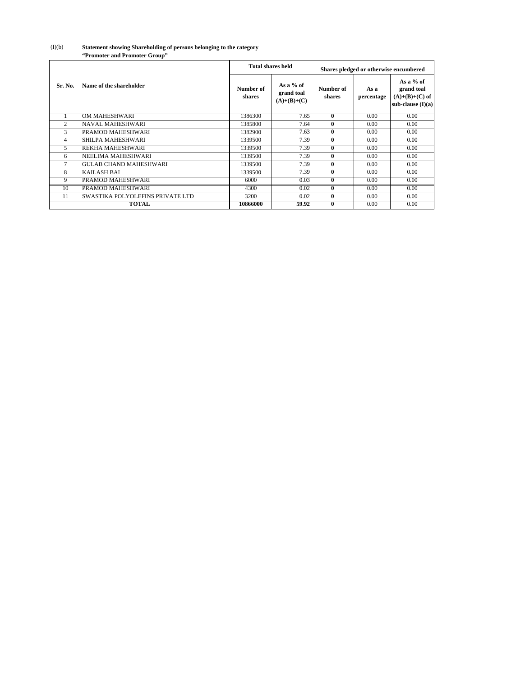| "Promoter and Promoter Group" |  |
|-------------------------------|--|
|-------------------------------|--|

|                |                                         |                     | <b>Total shares held</b>                 | Shares pledged or otherwise encumbered |                    |                                                                    |
|----------------|-----------------------------------------|---------------------|------------------------------------------|----------------------------------------|--------------------|--------------------------------------------------------------------|
| Sr. No.        | Name of the shareholder                 | Number of<br>shares | As a % of<br>grand toal<br>$(A)+(B)+(C)$ | Number of<br>shares                    | As a<br>percentage | As a % of<br>grand toal<br>$(A)+(B)+(C)$ of<br>sub-clause $(I)(a)$ |
|                | OM MAHESHWARI                           | 1386300             | 7.65                                     | $\boldsymbol{0}$                       | 0.00               | 0.00                                                               |
| $\overline{2}$ | <b>NAVAL MAHESHWARI</b>                 | 1385800             | 7.64                                     | $\bf{0}$                               | 0.00               | 0.00                                                               |
| 3              | PRAMOD MAHESHWARI                       | 1382900             | 7.63                                     | $\bf{0}$                               | 0.00               | 0.00                                                               |
| 4              | <b>SHILPA MAHESHWARI</b>                | 1339500             | 7.39                                     | $\bf{0}$                               | 0.00               | 0.00                                                               |
| 5              | REKHA MAHESHWARI                        | 1339500             | 7.39                                     | $\bf{0}$                               | 0.00               | 0.00                                                               |
| 6              | NEELIMA MAHESHWARI                      | 1339500             | 7.39                                     | $\bf{0}$                               | 0.00               | 0.00                                                               |
| 7              | <b>GULAB CHAND MAHESHWARI</b>           | 1339500             | 7.39                                     | $\bf{0}$                               | 0.00               | 0.00                                                               |
| 8              | <b>KAILASH BAI</b>                      | 1339500             | 7.39                                     | $\bf{0}$                               | 0.00               | 0.00                                                               |
| 9              | PRAMOD MAHESHWARI                       | 6000                | 0.03                                     | $\bf{0}$                               | 0.00               | 0.00                                                               |
| 10             | PRAMOD MAHESHWARI                       | 4300                | 0.02                                     | $\bf{0}$                               | 0.00               | 0.00                                                               |
| 11             | <b>SWASTIKA POLYOLEFINS PRIVATE LTD</b> | 3200                | 0.02                                     | $\bf{0}$                               | 0.00               | 0.00                                                               |
|                | <b>TOTAL</b>                            | 10866000            | 59.92                                    | $\bf{0}$                               | 0.00               | 0.00                                                               |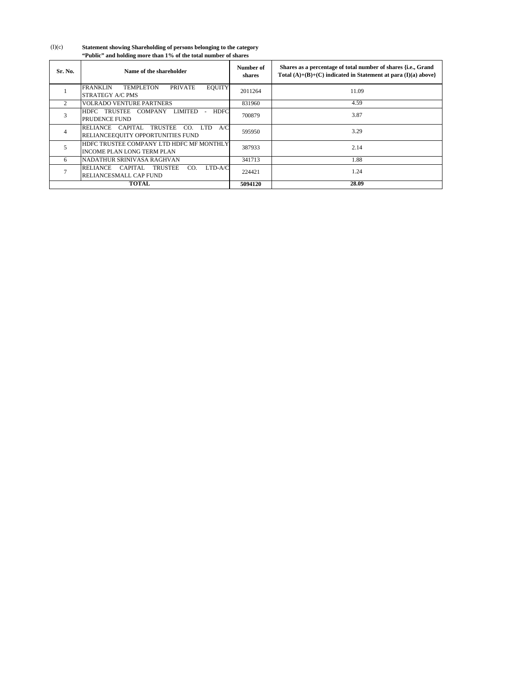| Sr. No.        | Name of the shareholder                                                                                    | Number of<br>shares | Shares as a percentage of total number of shares {i.e., Grand<br>Total $(A)+(B)+(C)$ indicated in Statement at para $(I)(a)$ above} |
|----------------|------------------------------------------------------------------------------------------------------------|---------------------|-------------------------------------------------------------------------------------------------------------------------------------|
|                | <b>FRANKLIN</b><br><b>EQUITY</b><br><b>TEMPLETON</b><br><b>PRIVATE</b><br><b>STRATEGY A/C PMS</b>          | 2011264             | 11.09                                                                                                                               |
| $\overline{2}$ | <b>VOLRADO VENTURE PARTNERS</b>                                                                            | 831960              | 4.59                                                                                                                                |
| 3              | HDFC TRUSTEE<br>COMPANY<br>LIMITED<br><b>HDFC</b><br><b>PRUDENCE FUND</b>                                  | 700879              | 3.87                                                                                                                                |
| $\overline{4}$ | <b>LTD</b><br>A/C<br>RELIANCE CAPITAL<br><b>TRUSTEE</b><br>CO.<br><b>RELIANCEEQUITY OPPORTUNITIES FUND</b> | 595950              | 3.29                                                                                                                                |
| 5              | HDFC TRUSTEE COMPANY LTD HDFC MF MONTHLY<br><b>INCOME PLAN LONG TERM PLAN</b>                              | 387933              | 2.14                                                                                                                                |
| 6              | NADATHUR SRINIVASA RAGHVAN                                                                                 | 341713              | 1.88                                                                                                                                |
|                | <b>RELIANCE</b><br>CAPITAL<br><b>TRUSTEE</b><br>LTD-A/C<br>CO.<br><b>RELIANCESMALL CAP FUND</b>            | 224421              | 1.24                                                                                                                                |
|                | <b>TOTAL</b>                                                                                               | 5094120             | 28.09                                                                                                                               |

(I)(c) **Statement showing Shareholding of persons belonging to the category "Public" and holding more than 1% of the total number of shares**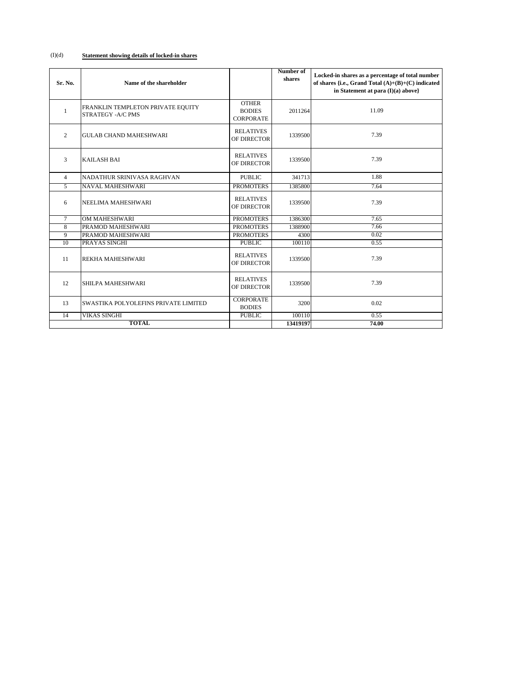## (I)(d) **Statement showing details of locked-in shares**

| Sr. No.         | Name of the shareholder                                        |                                                   | Number of<br>shares | Locked-in shares as a percentage of total number<br>of shares {i.e., Grand Total $(A)+(B)+(C)$ indicated<br>in Statement at para (I)(a) above} |
|-----------------|----------------------------------------------------------------|---------------------------------------------------|---------------------|------------------------------------------------------------------------------------------------------------------------------------------------|
| $\mathbf{1}$    | FRANKLIN TEMPLETON PRIVATE EQUITY<br><b>STRATEGY - A/C PMS</b> | <b>OTHER</b><br><b>BODIES</b><br><b>CORPORATE</b> | 2011264             | 11.09                                                                                                                                          |
| $\overline{2}$  | <b>GULAB CHAND MAHESHWARI</b>                                  | <b>RELATIVES</b><br>OF DIRECTOR                   | 1339500             | 7.39                                                                                                                                           |
| 3               | <b>KAILASH BAI</b>                                             | <b>RELATIVES</b><br>OF DIRECTOR                   | 1339500             | 7.39                                                                                                                                           |
| $\overline{4}$  | NADATHUR SRINIVASA RAGHVAN                                     | <b>PUBLIC</b>                                     | 341713              | 1.88                                                                                                                                           |
| $\overline{5}$  | NAVAL MAHESHWARI                                               | <b>PROMOTERS</b>                                  | 1385800             | 7.64                                                                                                                                           |
| 6               | NEELIMA MAHESHWARI                                             | <b>RELATIVES</b><br>OF DIRECTOR                   | 1339500             | 7.39                                                                                                                                           |
| $\tau$          | <b>OM MAHESHWARI</b>                                           | <b>PROMOTERS</b>                                  | 1386300             | 7.65                                                                                                                                           |
| $\overline{8}$  | PRAMOD MAHESHWARI                                              | <b>PROMOTERS</b>                                  | 1388900             | 7.66                                                                                                                                           |
| $\overline{9}$  | PRAMOD MAHESHWARI                                              | <b>PROMOTERS</b>                                  | 4300                | 0.02                                                                                                                                           |
| $\overline{10}$ | PRAYAS SINGHI                                                  | <b>PUBLIC</b>                                     | 100110              | 0.55                                                                                                                                           |
| 11              | <b>REKHA MAHESHWARI</b>                                        | <b>RELATIVES</b><br>OF DIRECTOR                   | 1339500             | 7.39                                                                                                                                           |
| 12              | SHILPA MAHESHWARI                                              | <b>RELATIVES</b><br>OF DIRECTOR                   | 1339500             | 7.39                                                                                                                                           |
| 13              | SWASTIKA POLYOLEFINS PRIVATE LIMITED                           | <b>CORPORATE</b><br><b>BODIES</b>                 | 3200                | 0.02                                                                                                                                           |
| 14              | <b>VIKAS SINGHI</b>                                            | <b>PUBLIC</b>                                     | 100110              | 0.55                                                                                                                                           |
|                 | <b>TOTAL</b>                                                   |                                                   | 13419197            | 74.00                                                                                                                                          |